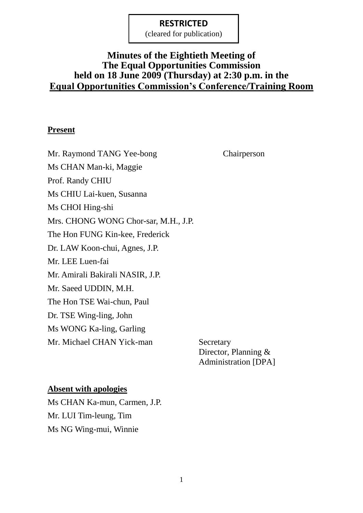(cleared for publication)

## **Minutes of the Eightieth Meeting of The Equal Opportunities Commission held on 18 June 2009 (Thursday) at 2:30 p.m. in the Equal Opportunities Commission's Conference/Training Room**

#### **Present**

Mr. Raymond TANG Yee-bong Chairperson Ms CHAN Man-ki, Maggie Prof. Randy CHIU Ms CHIU Lai-kuen, Susanna Ms CHOI Hing-shi Mrs. CHONG WONG Chor-sar, M.H., J.P. The Hon FUNG Kin-kee, Frederick Dr. LAW Koon-chui, Agnes, J.P. Mr. LEE Luen-fai Mr. Amirali Bakirali NASIR, J.P. Mr. Saeed UDDIN, M.H. The Hon TSE Wai-chun, Paul Dr. TSE Wing-ling, John Ms WONG Ka-ling, Garling Mr. Michael CHAN Yick-man Secretary

Director, Planning & Administration [DPA]

#### **Absent with apologies**

Ms CHAN Ka-mun, Carmen, J.P. Mr. LUI Tim-leung, Tim Ms NG Wing-mui, Winnie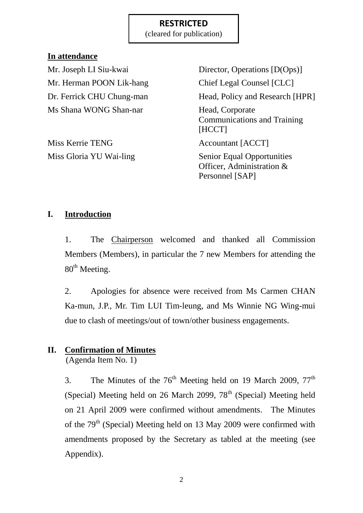(cleared for publication)

#### **In attendance**

Mr. Herman POON Lik-hang Chief Legal Counsel [CLC] Ms Shana WONG Shan-nar Head, Corporate

Miss Kerrie TENG Accountant [ACCT]

Mr. Joseph LI Siu-kwai Director, Operations [D(Ops)] Dr. Ferrick CHU Chung-man Head, Policy and Research [HPR] Communications and Training [HCCT]

Miss Gloria YU Wai-ling Senior Equal Opportunities Officer, Administration & Personnel [SAP]

### **I. Introduction**

1. The Chairperson welcomed and thanked all Commission Members (Members), in particular the 7 new Members for attending the  $80<sup>th</sup>$  Meeting.

2. Apologies for absence were received from Ms Carmen CHAN Ka-mun, J.P., Mr. Tim LUI Tim-leung, and Ms Winnie NG Wing-mui due to clash of meetings/out of town/other business engagements.

## **II. Confirmation of Minutes**

(Agenda Item No. 1)

3. The Minutes of the  $76<sup>th</sup>$  Meeting held on 19 March 2009,  $77<sup>th</sup>$ (Special) Meeting held on 26 March 2099,  $78<sup>th</sup>$  (Special) Meeting held on 21 April 2009 were confirmed without amendments. The Minutes of the 79<sup>th</sup> (Special) Meeting held on 13 May 2009 were confirmed with amendments proposed by the Secretary as tabled at the meeting (see Appendix).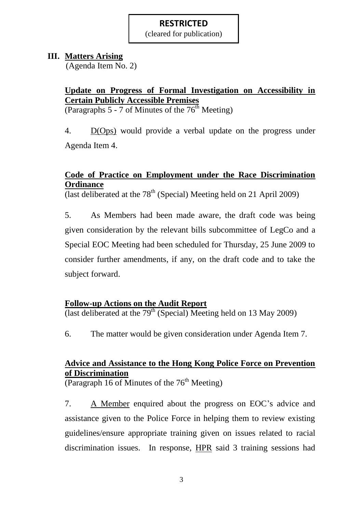(cleared for publication)

### **III. Matters Arising**

(Agenda Item No. 2)

## **Update on Progress of Formal Investigation on Accessibility in Certain Publicly Accessible Premises**

(Paragraphs 5 - 7 of Minutes of the  $76<sup>th</sup>$  Meeting)

4. D(Ops) would provide a verbal update on the progress under Agenda Item 4.

## **Code of Practice on Employment under the Race Discrimination Ordinance**

(last deliberated at the  $78<sup>th</sup>$  (Special) Meeting held on 21 April 2009)

5. As Members had been made aware, the draft code was being given consideration by the relevant bills subcommittee of LegCo and a Special EOC Meeting had been scheduled for Thursday, 25 June 2009 to consider further amendments, if any, on the draft code and to take the subject forward.

## **Follow-up Actions on the Audit Report**

(last deliberated at the  $79<sup>th</sup>$  (Special) Meeting held on 13 May 2009)

6. The matter would be given consideration under Agenda Item 7.

## **Advice and Assistance to the Hong Kong Police Force on Prevention of Discrimination**

(Paragraph 16 of Minutes of the  $76<sup>th</sup>$  Meeting)

7. A Member enquired about the progress on EOC's advice and assistance given to the Police Force in helping them to review existing guidelines/ensure appropriate training given on issues related to racial discrimination issues. In response, HPR said 3 training sessions had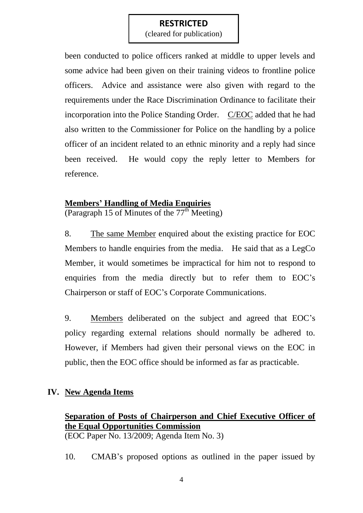(cleared for publication)

been conducted to police officers ranked at middle to upper levels and some advice had been given on their training videos to frontline police officers. Advice and assistance were also given with regard to the requirements under the Race Discrimination Ordinance to facilitate their incorporation into the Police Standing Order. C/EOC added that he had also written to the Commissioner for Police on the handling by a police officer of an incident related to an ethnic minority and a reply had since been received. He would copy the reply letter to Members for reference.

## **Members' Handling of Media Enquiries**

(Paragraph 15 of Minutes of the  $77<sup>th</sup>$  Meeting)

8. The same Member enquired about the existing practice for EOC Members to handle enquiries from the media. He said that as a LegCo Member, it would sometimes be impractical for him not to respond to enquiries from the media directly but to refer them to EOC's Chairperson or staff of EOC's Corporate Communications.

9. Members deliberated on the subject and agreed that EOC's policy regarding external relations should normally be adhered to. However, if Members had given their personal views on the EOC in public, then the EOC office should be informed as far as practicable.

#### **IV. New Agenda Items**

#### **Separation of Posts of Chairperson and Chief Executive Officer of the Equal Opportunities Commission** (EOC Paper No. 13/2009; Agenda Item No. 3)

10. CMAB's proposed options as outlined in the paper issued by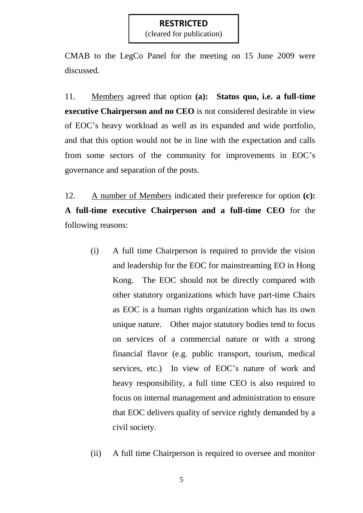(cleared for publication)

CMAB to the LegCo Panel for the meeting on 15 June 2009 were discussed.

11. Members agreed that option **(a): Status quo, i.e. a full-time executive Chairperson and no CEO** is not considered desirable in view of EOC's heavy workload as well as its expanded and wide portfolio, and that this option would not be in line with the expectation and calls from some sectors of the community for improvements in EOC's governance and separation of the posts.

12. A number of Members indicated their preference for option **(c): A full-time executive Chairperson and a full-time CEO** for the following reasons:

- (i) A full time Chairperson is required to provide the vision and leadership for the EOC for mainstreaming EO in Hong Kong. The EOC should not be directly compared with other statutory organizations which have part-time Chairs as EOC is a human rights organization which has its own unique nature. Other major statutory bodies tend to focus on services of a commercial nature or with a strong financial flavor (e.g. public transport, tourism, medical services, etc.) In view of EOC's nature of work and heavy responsibility, a full time CEO is also required to focus on internal management and administration to ensure that EOC delivers quality of service rightly demanded by a civil society.
- (ii) A full time Chairperson is required to oversee and monitor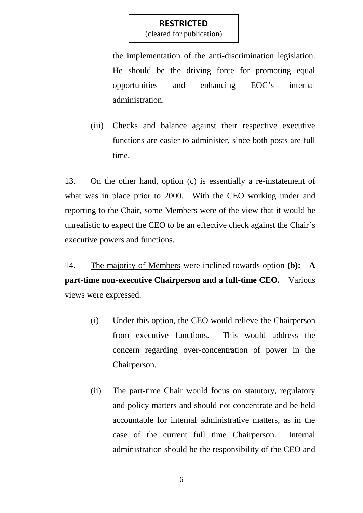(cleared for publication)

the implementation of the anti-discrimination legislation. He should be the driving force for promoting equal opportunities and enhancing EOC's internal administration.

(iii) Checks and balance against their respective executive functions are easier to administer, since both posts are full time.

13. On the other hand, option (c) is essentially a re-instatement of what was in place prior to 2000. With the CEO working under and reporting to the Chair, some Members were of the view that it would be unrealistic to expect the CEO to be an effective check against the Chair's executive powers and functions.

14. The majority of Members were inclined towards option **(b): A part-time non-executive Chairperson and a full-time CEO.** Various views were expressed.

- (i) Under this option, the CEO would relieve the Chairperson from executive functions. This would address the concern regarding over-concentration of power in the Chairperson.
- (ii) The part-time Chair would focus on statutory, regulatory and policy matters and should not concentrate and be held accountable for internal administrative matters, as in the case of the current full time Chairperson. Internal administration should be the responsibility of the CEO and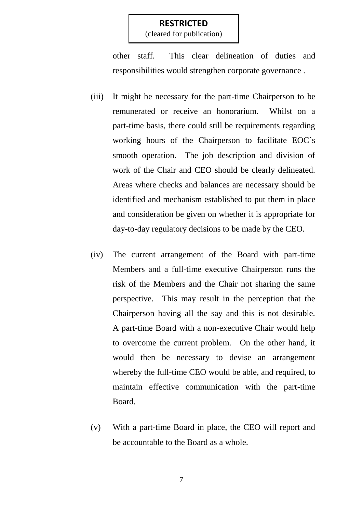(cleared for publication)

other staff. This clear delineation of duties and responsibilities would strengthen corporate governance .

- (iii) It might be necessary for the part-time Chairperson to be remunerated or receive an honorarium. Whilst on a part-time basis, there could still be requirements regarding working hours of the Chairperson to facilitate EOC's smooth operation. The job description and division of work of the Chair and CEO should be clearly delineated. Areas where checks and balances are necessary should be identified and mechanism established to put them in place and consideration be given on whether it is appropriate for day-to-day regulatory decisions to be made by the CEO.
- (iv) The current arrangement of the Board with part-time Members and a full-time executive Chairperson runs the risk of the Members and the Chair not sharing the same perspective. This may result in the perception that the Chairperson having all the say and this is not desirable. A part-time Board with a non-executive Chair would help to overcome the current problem. On the other hand, it would then be necessary to devise an arrangement whereby the full-time CEO would be able, and required, to maintain effective communication with the part-time Board.
- (v) With a part-time Board in place, the CEO will report and be accountable to the Board as a whole.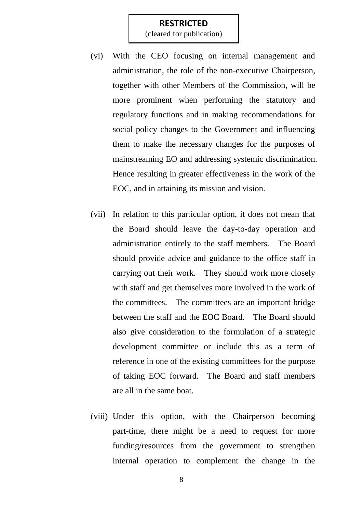(cleared for publication)

- (vi) With the CEO focusing on internal management and administration, the role of the non-executive Chairperson, together with other Members of the Commission, will be more prominent when performing the statutory and regulatory functions and in making recommendations for social policy changes to the Government and influencing them to make the necessary changes for the purposes of mainstreaming EO and addressing systemic discrimination. Hence resulting in greater effectiveness in the work of the EOC, and in attaining its mission and vision.
- (vii) In relation to this particular option, it does not mean that the Board should leave the day-to-day operation and administration entirely to the staff members. The Board should provide advice and guidance to the office staff in carrying out their work. They should work more closely with staff and get themselves more involved in the work of the committees. The committees are an important bridge between the staff and the EOC Board. The Board should also give consideration to the formulation of a strategic development committee or include this as a term of reference in one of the existing committees for the purpose of taking EOC forward. The Board and staff members are all in the same boat.
- (viii) Under this option, with the Chairperson becoming part-time, there might be a need to request for more funding/resources from the government to strengthen internal operation to complement the change in the

8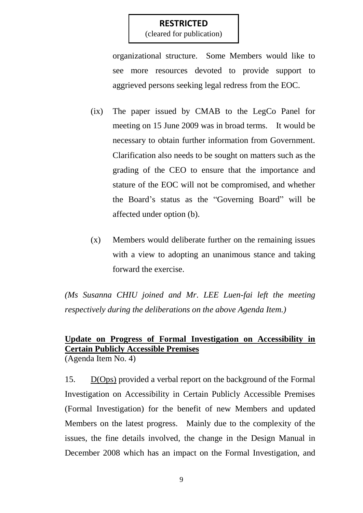(cleared for publication)

organizational structure. Some Members would like to see more resources devoted to provide support to aggrieved persons seeking legal redress from the EOC.

- (ix) The paper issued by CMAB to the LegCo Panel for meeting on 15 June 2009 was in broad terms. It would be necessary to obtain further information from Government. Clarification also needs to be sought on matters such as the grading of the CEO to ensure that the importance and stature of the EOC will not be compromised, and whether the Board's status as the "Governing Board" will be affected under option (b).
- (x) Members would deliberate further on the remaining issues with a view to adopting an unanimous stance and taking forward the exercise.

*(Ms Susanna CHIU joined and Mr. LEE Luen-fai left the meeting respectively during the deliberations on the above Agenda Item.)*

#### **Update on Progress of Formal Investigation on Accessibility in Certain Publicly Accessible Premises** (Agenda Item No. 4)

15. D(Ops) provided a verbal report on the background of the Formal Investigation on Accessibility in Certain Publicly Accessible Premises (Formal Investigation) for the benefit of new Members and updated Members on the latest progress. Mainly due to the complexity of the issues, the fine details involved, the change in the Design Manual in December 2008 which has an impact on the Formal Investigation, and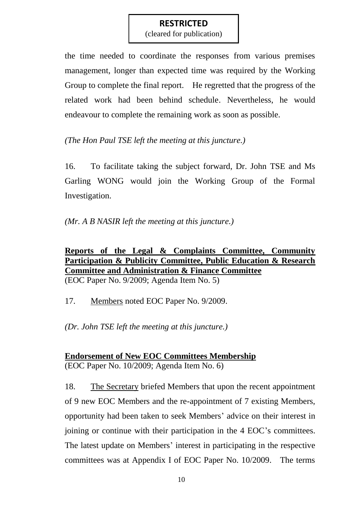(cleared for publication)

the time needed to coordinate the responses from various premises management, longer than expected time was required by the Working Group to complete the final report. He regretted that the progress of the related work had been behind schedule. Nevertheless, he would endeavour to complete the remaining work as soon as possible.

*(The Hon Paul TSE left the meeting at this juncture.)*

16. To facilitate taking the subject forward, Dr. John TSE and Ms Garling WONG would join the Working Group of the Formal Investigation.

*(Mr. A B NASIR left the meeting at this juncture.)*

**Reports of the Legal & Complaints Committee, Community Participation & Publicity Committee, Public Education & Research Committee and Administration & Finance Committee** (EOC Paper No. 9/2009; Agenda Item No. 5)

17. Members noted EOC Paper No. 9/2009.

*(Dr. John TSE left the meeting at this juncture.)*

**Endorsement of New EOC Committees Membership** (EOC Paper No. 10/2009; Agenda Item No. 6)

18. The Secretary briefed Members that upon the recent appointment of 9 new EOC Members and the re-appointment of 7 existing Members, opportunity had been taken to seek Members' advice on their interest in joining or continue with their participation in the 4 EOC's committees. The latest update on Members' interest in participating in the respective committees was at Appendix I of EOC Paper No. 10/2009. The terms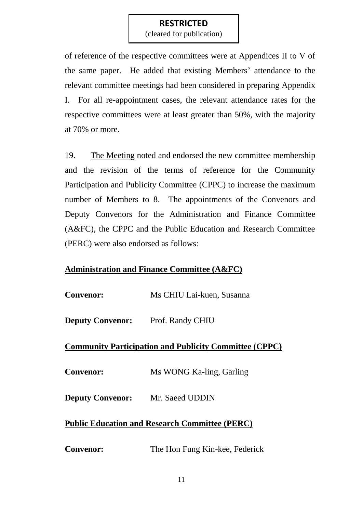(cleared for publication)

of reference of the respective committees were at Appendices II to V of the same paper. He added that existing Members' attendance to the relevant committee meetings had been considered in preparing Appendix I. For all re-appointment cases, the relevant attendance rates for the respective committees were at least greater than 50%, with the majority at 70% or more.

19. The Meeting noted and endorsed the new committee membership and the revision of the terms of reference for the Community Participation and Publicity Committee (CPPC) to increase the maximum number of Members to 8. The appointments of the Convenors and Deputy Convenors for the Administration and Finance Committee (A&FC), the CPPC and the Public Education and Research Committee (PERC) were also endorsed as follows:

## **Administration and Finance Committee (A&FC)**

| <b>Convenor:</b>                                              | Ms CHIU Lai-kuen, Susanna      |
|---------------------------------------------------------------|--------------------------------|
| <b>Deputy Convenor:</b>                                       | Prof. Randy CHIU               |
| <b>Community Participation and Publicity Committee (CPPC)</b> |                                |
| <b>Convenor:</b>                                              | Ms WONG Ka-ling, Garling       |
| <b>Deputy Convenor:</b>                                       | Mr. Saeed UDDIN                |
| <b>Public Education and Research Committee (PERC)</b>         |                                |
| <b>Convenor:</b>                                              | The Hon Fung Kin-kee, Federick |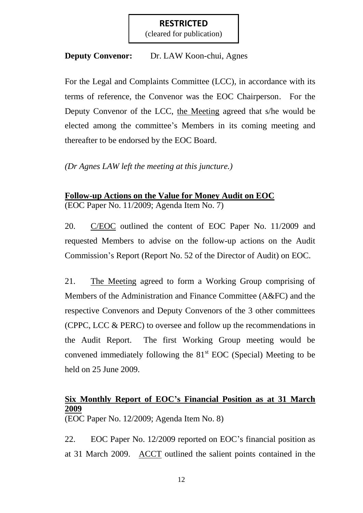(cleared for publication)

#### **Deputy Convenor:** Dr. LAW Koon-chui, Agnes

For the Legal and Complaints Committee (LCC), in accordance with its terms of reference, the Convenor was the EOC Chairperson. For the Deputy Convenor of the LCC, the Meeting agreed that s/he would be elected among the committee's Members in its coming meeting and thereafter to be endorsed by the EOC Board.

*(Dr Agnes LAW left the meeting at this juncture.)*

## **Follow-up Actions on the Value for Money Audit on EOC** (EOC Paper No. 11/2009; Agenda Item No. 7)

20. C/EOC outlined the content of EOC Paper No. 11/2009 and requested Members to advise on the follow-up actions on the Audit Commission's Report (Report No. 52 of the Director of Audit) on EOC.

21. The Meeting agreed to form a Working Group comprising of Members of the Administration and Finance Committee (A&FC) and the respective Convenors and Deputy Convenors of the 3 other committees (CPPC, LCC & PERC) to oversee and follow up the recommendations in the Audit Report. The first Working Group meeting would be convened immediately following the  $81<sup>st</sup>$  EOC (Special) Meeting to be held on 25 June 2009.

## **Six Monthly Report of EOC's Financial Position as at 31 March 2009**

(EOC Paper No. 12/2009; Agenda Item No. 8)

22. EOC Paper No. 12/2009 reported on EOC's financial position as at 31 March 2009. ACCT outlined the salient points contained in the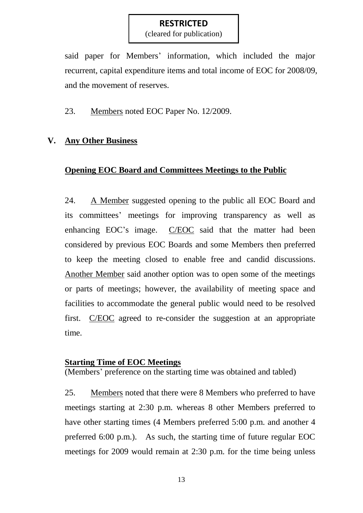(cleared for publication)

said paper for Members' information, which included the major recurrent, capital expenditure items and total income of EOC for 2008/09, and the movement of reserves.

23. Members noted EOC Paper No. 12/2009.

## **V. Any Other Business**

## **Opening EOC Board and Committees Meetings to the Public**

24. A Member suggested opening to the public all EOC Board and its committees' meetings for improving transparency as well as enhancing EOC's image. C/EOC said that the matter had been considered by previous EOC Boards and some Members then preferred to keep the meeting closed to enable free and candid discussions. Another Member said another option was to open some of the meetings or parts of meetings; however, the availability of meeting space and facilities to accommodate the general public would need to be resolved first. C/EOC agreed to re-consider the suggestion at an appropriate time.

#### **Starting Time of EOC Meetings**

(Members' preference on the starting time was obtained and tabled)

25. Members noted that there were 8 Members who preferred to have meetings starting at 2:30 p.m. whereas 8 other Members preferred to have other starting times (4 Members preferred 5:00 p.m. and another 4 preferred 6:00 p.m.). As such, the starting time of future regular EOC meetings for 2009 would remain at 2:30 p.m. for the time being unless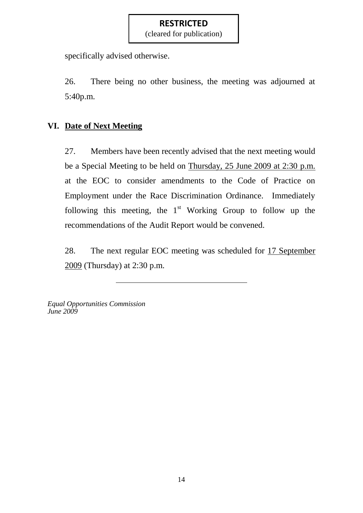(cleared for publication)

specifically advised otherwise.

26. There being no other business, the meeting was adjourned at 5:40p.m.

## **VI. Date of Next Meeting**

27. Members have been recently advised that the next meeting would be a Special Meeting to be held on Thursday, 25 June 2009 at 2:30 p.m. at the EOC to consider amendments to the Code of Practice on Employment under the Race Discrimination Ordinance. Immediately following this meeting, the  $1<sup>st</sup>$  Working Group to follow up the recommendations of the Audit Report would be convened.

28. The next regular EOC meeting was scheduled for 17 September 2009 (Thursday) at 2:30 p.m.

*Equal Opportunities Commission June 2009*